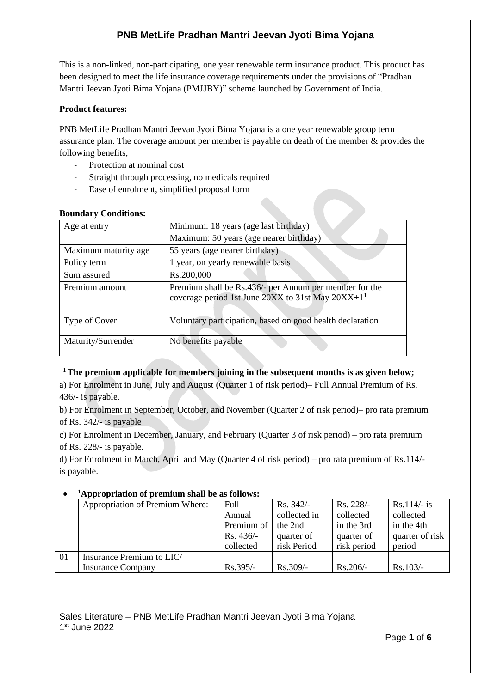This is a non-linked, non-participating, one year renewable term insurance product. This product has been designed to meet the life insurance coverage requirements under the provisions of "Pradhan Mantri Jeevan Jyoti Bima Yojana (PMJJBY)" scheme launched by Government of India.

## **Product features:**

PNB MetLife Pradhan Mantri Jeevan Jyoti Bima Yojana is a one year renewable group term assurance plan. The coverage amount per member is payable on death of the member & provides the following benefits,

- Protection at nominal cost
- Straight through processing, no medicals required
- Ease of enrolment, simplified proposal form

| Dounaar, conditions. |                                                                                                               |  |  |  |
|----------------------|---------------------------------------------------------------------------------------------------------------|--|--|--|
| Age at entry         | Minimum: 18 years (age last birthday)                                                                         |  |  |  |
|                      | Maximum: 50 years (age nearer birthday)                                                                       |  |  |  |
| Maximum maturity age | 55 years (age nearer birthday)                                                                                |  |  |  |
| Policy term          | 1 year, on yearly renewable basis                                                                             |  |  |  |
| Sum assured          | Rs.200,000                                                                                                    |  |  |  |
| Premium amount       | Premium shall be Rs.436/- per Annum per member for the<br>coverage period 1st June 20XX to 31st May $20XX+11$ |  |  |  |
| Type of Cover        | Voluntary participation, based on good health declaration                                                     |  |  |  |
| Maturity/Surrender   | No benefits payable                                                                                           |  |  |  |

### **Boundary Conditions:**

## **<sup>1</sup>The premium applicable for members joining in the subsequent months is as given below;**

a) For Enrolment in June, July and August (Quarter 1 of risk period)– Full Annual Premium of Rs. 436/- is payable.

b) For Enrolment in September, October, and November (Quarter 2 of risk period)– pro rata premium of Rs. 342/- is payable

c) For Enrolment in December, January, and February (Quarter 3 of risk period) – pro rata premium of Rs. 228/- is payable.

d) For Enrolment in March, April and May (Quarter 4 of risk period) – pro rata premium of Rs.114/ is payable.

#### • **<sup>1</sup>Appropriation of premium shall be as follows:**

|     | Appropriation of Premium Where: | Full       | Rs. $342/-$  | Rs. 228/-   | $Rs.114/- is$   |
|-----|---------------------------------|------------|--------------|-------------|-----------------|
|     |                                 | Annual     | collected in | collected   | collected       |
|     |                                 | Premium of | the 2nd      | in the 3rd  | in the 4th      |
|     |                                 | $Rs.436/-$ | quarter of   | quarter of  | quarter of risk |
|     |                                 | collected  | risk Period  | risk period | period          |
| -01 | Insurance Premium to LIC/       |            |              |             |                 |
|     | <b>Insurance Company</b>        | Rs.395/-   | Rs.309/-     | $Rs.206/-$  | $Rs.103/-$      |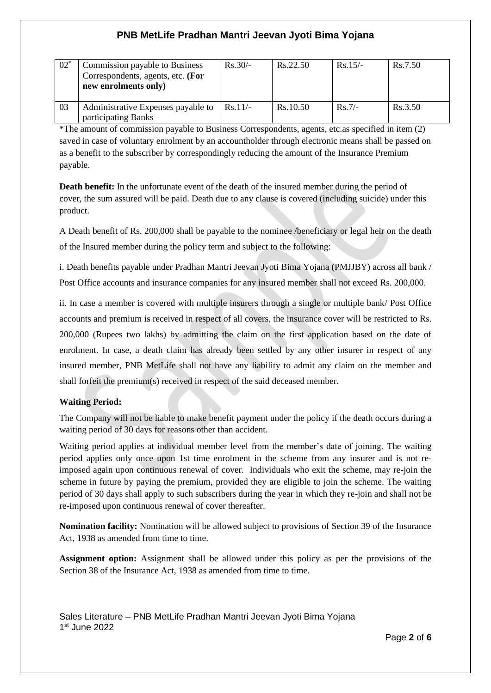| $02^*$ | Commission payable to Business<br>Correspondents, agents, etc. (For<br>new enrolments only) | $Rs.30/-$ | Rs.22.50 | $Rs.15/-$ | Rs.7.50 |
|--------|---------------------------------------------------------------------------------------------|-----------|----------|-----------|---------|
| 03     | Administrative Expenses payable to<br>participating Banks                                   | $Rs.11/-$ | Rs.10.50 | $Rs.7/-$  | Rs.3.50 |

\*The amount of commission payable to Business Correspondents, agents, etc.as specified in item (2) saved in case of voluntary enrolment by an accountholder through electronic means shall be passed on as a benefit to the subscriber by correspondingly reducing the amount of the Insurance Premium payable.

**Death benefit:** In the unfortunate event of the death of the insured member during the period of cover, the sum assured will be paid. Death due to any clause is covered (including suicide) under this product.

A Death benefit of Rs. 200,000 shall be payable to the nominee /beneficiary or legal heir on the death of the Insured member during the policy term and subject to the following:

i. Death benefits payable under Pradhan Mantri Jeevan Jyoti Bima Yojana (PMJJBY) across all bank / Post Office accounts and insurance companies for any insured member shall not exceed Rs. 200,000.

ii. In case a member is covered with multiple insurers through a single or multiple bank/ Post Office accounts and premium is received in respect of all covers, the insurance cover will be restricted to Rs. 200,000 (Rupees two lakhs) by admitting the claim on the first application based on the date of enrolment. In case, a death claim has already been settled by any other insurer in respect of any insured member, PNB MetLife shall not have any liability to admit any claim on the member and shall forfeit the premium(s) received in respect of the said deceased member.

# **Waiting Period:**

The Company will not be liable to make benefit payment under the policy if the death occurs during a waiting period of 30 days for reasons other than accident.

Waiting period applies at individual member level from the member's date of joining. The waiting period applies only once upon 1st time enrolment in the scheme from any insurer and is not reimposed again upon continuous renewal of cover. Individuals who exit the scheme, may re-join the scheme in future by paying the premium, provided they are eligible to join the scheme. The waiting period of 30 days shall apply to such subscribers during the year in which they re-join and shall not be re-imposed upon continuous renewal of cover thereafter.

**Nomination facility:** Nomination will be allowed subject to provisions of Section 39 of the Insurance Act, 1938 as amended from time to time.

**Assignment option:** Assignment shall be allowed under this policy as per the provisions of the Section 38 of the Insurance Act, 1938 as amended from time to time.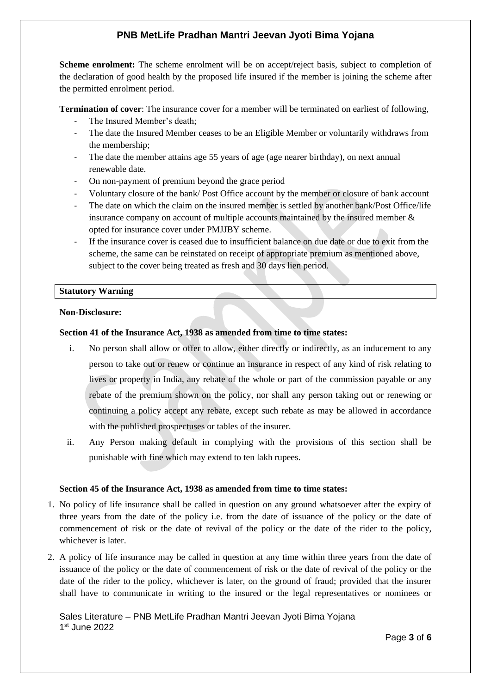**Scheme enrolment:** The scheme enrolment will be on accept/reject basis, subject to completion of the declaration of good health by the proposed life insured if the member is joining the scheme after the permitted enrolment period.

**Termination of cover**: The insurance cover for a member will be terminated on earliest of following,

- The Insured Member's death;
- The date the Insured Member ceases to be an Eligible Member or voluntarily withdraws from the membership;
- The date the member attains age 55 years of age (age nearer birthday), on next annual renewable date.
- On non-payment of premium beyond the grace period
- Voluntary closure of the bank/Post Office account by the member or closure of bank account
- The date on which the claim on the insured member is settled by another bank/Post Office/life insurance company on account of multiple accounts maintained by the insured member & opted for insurance cover under PMJJBY scheme.
- If the insurance cover is ceased due to insufficient balance on due date or due to exit from the scheme, the same can be reinstated on receipt of appropriate premium as mentioned above, subject to the cover being treated as fresh and 30 days lien period.

### **Statutory Warning**

#### **Non-Disclosure:**

### **Section 41 of the Insurance Act, 1938 as amended from time to time states:**

- i. No person shall allow or offer to allow, either directly or indirectly, as an inducement to any person to take out or renew or continue an insurance in respect of any kind of risk relating to lives or property in India, any rebate of the whole or part of the commission payable or any rebate of the premium shown on the policy, nor shall any person taking out or renewing or continuing a policy accept any rebate, except such rebate as may be allowed in accordance with the published prospectuses or tables of the insurer.
- ii. Any Person making default in complying with the provisions of this section shall be punishable with fine which may extend to ten lakh rupees.

### **Section 45 of the Insurance Act, 1938 as amended from time to time states:**

- 1. No policy of life insurance shall be called in question on any ground whatsoever after the expiry of three years from the date of the policy i.e. from the date of issuance of the policy or the date of commencement of risk or the date of revival of the policy or the date of the rider to the policy, whichever is later.
- 2. A policy of life insurance may be called in question at any time within three years from the date of issuance of the policy or the date of commencement of risk or the date of revival of the policy or the date of the rider to the policy, whichever is later, on the ground of fraud; provided that the insurer shall have to communicate in writing to the insured or the legal representatives or nominees or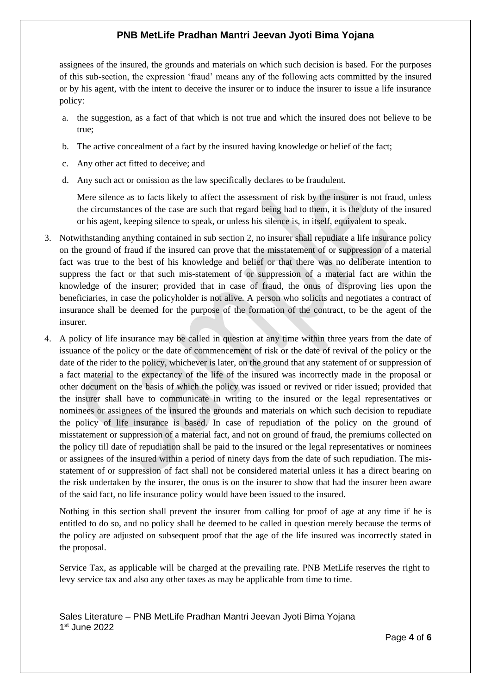assignees of the insured, the grounds and materials on which such decision is based. For the purposes of this sub-section, the expression 'fraud' means any of the following acts committed by the insured or by his agent, with the intent to deceive the insurer or to induce the insurer to issue a life insurance policy:

- a. the suggestion, as a fact of that which is not true and which the insured does not believe to be true;
- b. The active concealment of a fact by the insured having knowledge or belief of the fact;
- c. Any other act fitted to deceive; and
- d. Any such act or omission as the law specifically declares to be fraudulent.

Mere silence as to facts likely to affect the assessment of risk by the insurer is not fraud, unless the circumstances of the case are such that regard being had to them, it is the duty of the insured or his agent, keeping silence to speak, or unless his silence is, in itself, equivalent to speak.

- 3. Notwithstanding anything contained in sub section 2, no insurer shall repudiate a life insurance policy on the ground of fraud if the insured can prove that the misstatement of or suppression of a material fact was true to the best of his knowledge and belief or that there was no deliberate intention to suppress the fact or that such mis-statement of or suppression of a material fact are within the knowledge of the insurer; provided that in case of fraud, the onus of disproving lies upon the beneficiaries, in case the policyholder is not alive. A person who solicits and negotiates a contract of insurance shall be deemed for the purpose of the formation of the contract, to be the agent of the insurer.
- 4. A policy of life insurance may be called in question at any time within three years from the date of issuance of the policy or the date of commencement of risk or the date of revival of the policy or the date of the rider to the policy, whichever is later, on the ground that any statement of or suppression of a fact material to the expectancy of the life of the insured was incorrectly made in the proposal or other document on the basis of which the policy was issued or revived or rider issued; provided that the insurer shall have to communicate in writing to the insured or the legal representatives or nominees or assignees of the insured the grounds and materials on which such decision to repudiate the policy of life insurance is based. In case of repudiation of the policy on the ground of misstatement or suppression of a material fact, and not on ground of fraud, the premiums collected on the policy till date of repudiation shall be paid to the insured or the legal representatives or nominees or assignees of the insured within a period of ninety days from the date of such repudiation. The misstatement of or suppression of fact shall not be considered material unless it has a direct bearing on the risk undertaken by the insurer, the onus is on the insurer to show that had the insurer been aware of the said fact, no life insurance policy would have been issued to the insured.

Nothing in this section shall prevent the insurer from calling for proof of age at any time if he is entitled to do so, and no policy shall be deemed to be called in question merely because the terms of the policy are adjusted on subsequent proof that the age of the life insured was incorrectly stated in the proposal.

Service Tax, as applicable will be charged at the prevailing rate. PNB MetLife reserves the right to levy service tax and also any other taxes as may be applicable from time to time.